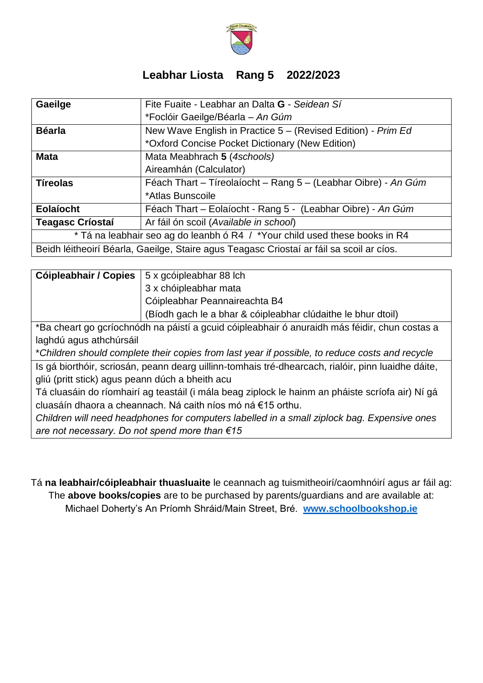

## **Leabhar Liosta Rang 5 2022/2023**

| Gaeilge                                                                                  | Fite Fuaite - Leabhar an Dalta G - Seidean Sí                  |  |
|------------------------------------------------------------------------------------------|----------------------------------------------------------------|--|
|                                                                                          | *Foclóir Gaeilge/Béarla - An Gúm                               |  |
| <b>Béarla</b>                                                                            | New Wave English in Practice 5 - (Revised Edition) - Prim Ed   |  |
|                                                                                          | *Oxford Concise Pocket Dictionary (New Edition)                |  |
| <b>Mata</b>                                                                              | Mata Meabhrach 5 (4schools)                                    |  |
|                                                                                          | Aireamhán (Calculator)                                         |  |
| <b>Tíreolas</b>                                                                          | Féach Thart - Tíreolaíocht - Rang 5 - (Leabhar Oibre) - An Gúm |  |
|                                                                                          | *Atlas Bunscoile                                               |  |
| <b>Eolaíocht</b>                                                                         | Féach Thart - Eolaíocht - Rang 5 - (Leabhar Oibre) - An Gúm    |  |
| <b>Teagasc Críostaí</b>                                                                  | Ar fáil ón scoil (Available in school)                         |  |
| * Tá na leabhair seo ag do leanbh ó R4 / *Your child used these books in R4              |                                                                |  |
| Beidh léitheoirí Béarla, Gaeilge, Staire agus Teagasc Criostaí ar fáil sa scoil ar cíos. |                                                                |  |

| <b>Cóipleabhair / Copies</b> $\vert$ 5 x gcóipleabhar 88 lch |  |
|--------------------------------------------------------------|--|
| 3 x chóipleabhar mata                                        |  |
| <b>Cóipleabhar Peannaireachta B4</b>                         |  |
| (Bíodh gach le a bhar & cóipleabhar clúdaithe le bhur dtoil) |  |

\*Ba cheart go gcríochnódh na páistí a gcuid cóipleabhair ó anuraidh más féidir, chun costas a laghdú agus athchúrsáil

\**Children should complete their copies from last year if possible, to reduce costs and recycle*

Is gá biorthóir, scriosán, peann dearg uillinn-tomhais tré-dhearcach, rialóir, pinn luaidhe dáite, gliú (pritt stick) agus peann dúch a bheith acu

Tá cluasáin do ríomhairí ag teastáil (i mála beag ziplock le hainm an pháiste scríofa air) Ní gá cluasáín dhaora a cheannach. Ná caith níos mó ná €15 orthu.

*Children will need headphones for computers labelled in a small ziplock bag. Expensive ones are not necessary. Do not spend more than €15*

Tá **na leabhair/cóipleabhair thuasluaite** le ceannach ag tuismitheoirí/caomhnóirí agus ar fáil ag: The **above books/copies** are to be purchased by parents/guardians and are available at: Michael Doherty's An Príomh Shráid/Main Street, Bré. **[www.schoolbookshop.ie](http://www.schoolbookshop.ie/)**